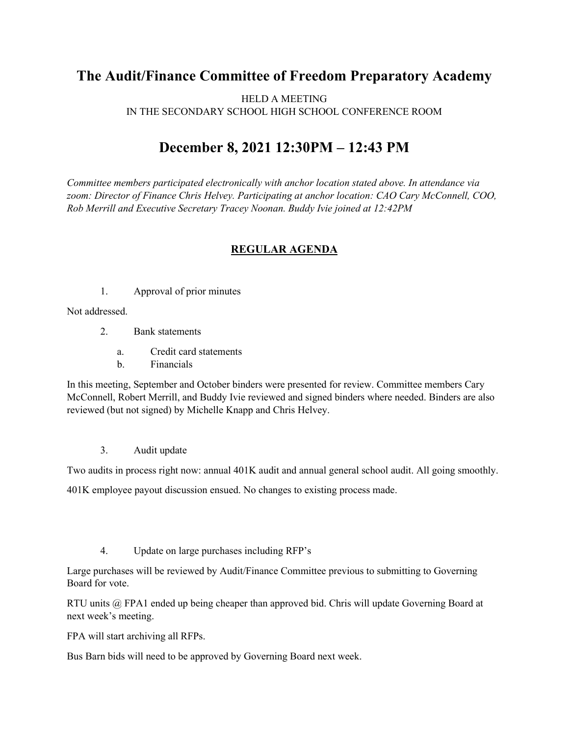## **The Audit/Finance Committee of Freedom Preparatory Academy**

HELD A MEETING IN THE SECONDARY SCHOOL HIGH SCHOOL CONFERENCE ROOM

## **December 8, 2021 12:30PM – 12:43 PM**

*Committee members participated electronically with anchor location stated above. In attendance via zoom: Director of Finance Chris Helvey. Participating at anchor location: CAO Cary McConnell, COO, Rob Merrill and Executive Secretary Tracey Noonan. Buddy Ivie joined at 12:42PM*

## **REGULAR AGENDA**

1. Approval of prior minutes

Not addressed.

- 2. Bank statements
	- a. Credit card statements
	- b. Financials

In this meeting, September and October binders were presented for review. Committee members Cary McConnell, Robert Merrill, and Buddy Ivie reviewed and signed binders where needed. Binders are also reviewed (but not signed) by Michelle Knapp and Chris Helvey.

3. Audit update

Two audits in process right now: annual 401K audit and annual general school audit. All going smoothly.

401K employee payout discussion ensued. No changes to existing process made.

4. Update on large purchases including RFP's

Large purchases will be reviewed by Audit/Finance Committee previous to submitting to Governing Board for vote.

RTU units @ FPA1 ended up being cheaper than approved bid. Chris will update Governing Board at next week's meeting.

FPA will start archiving all RFPs.

Bus Barn bids will need to be approved by Governing Board next week.